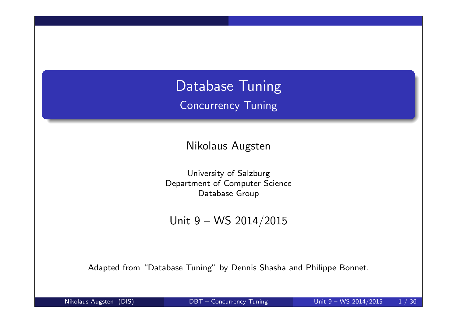Database Tuning Concurrency Tuning

Nikolaus Augsten

University of Salzburg Department of Computer Science Database Group

Unit 9 – WS 2014/2015

Adapted from "Database Tuning" by Dennis Shasha and Philippe Bonnet.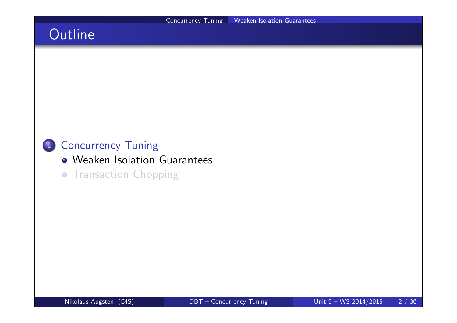## **Outline**

### 1 Concurrency Tuning

- Weaken Isolation Guarantees
- **Transaction Chopping**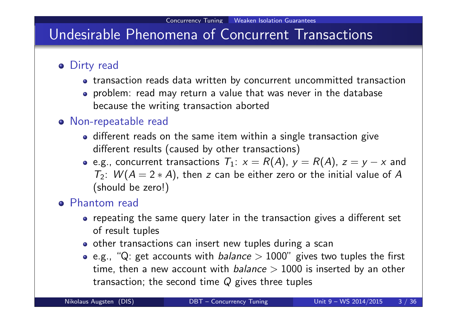## Undesirable Phenomena of Concurrent Transactions

- **o** Dirty read
	- transaction reads data written by concurrent uncommitted transaction
	- problem: read may return a value that was never in the database because the writing transaction aborted

#### Non-repeatable read

- different reads on the same item within a single transaction give different results (caused by other transactions)
- e.g., concurrent transactions  $T_1: x = R(A)$ ,  $y = R(A)$ ,  $z = y x$  and  $T_2$ :  $W(A = 2*A)$ , then z can be either zero or the initial value of A (should be zero!)

#### Phantom read

- repeating the same query later in the transaction gives a different set of result tuples
- o other transactions can insert new tuples during a scan
- e.g., "Q: get accounts with *balance*  $> 1000$ " gives two tuples the first time, then a new account with *balance*  $> 1000$  is inserted by an other transaction; the second time  $Q$  gives three tuples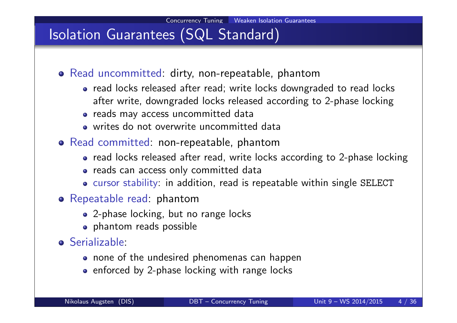## Isolation Guarantees (SQL Standard)

- Read uncommitted: dirty, non-repeatable, phantom
	- read locks released after read; write locks downgraded to read locks after write, downgraded locks released according to 2-phase locking
	- reads may access uncommitted data
	- writes do not overwrite uncommitted data
- Read committed: non-repeatable, phantom
	- read locks released after read, write locks according to 2-phase locking
	- reads can access only committed data
	- cursor stability: in addition, read is repeatable within single SELECT
- Repeatable read: phantom
	- 2-phase locking, but no range locks
	- **•** phantom reads possible
- **o** Serializable:
	- none of the undesired phenomenas can happen
	- enforced by 2-phase locking with range locks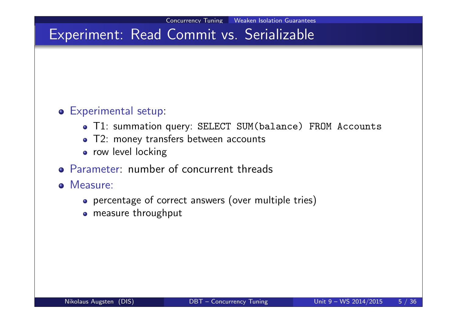#### Experimental setup:

- T1: summation query: SELECT SUM(balance) FROM Accounts
- T2: money transfers between accounts
- **•** row level locking
- Parameter: number of concurrent threads
- **o** Measure:
	- percentage of correct answers (over multiple tries)
	- measure throughput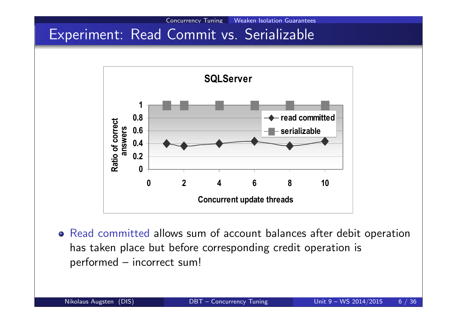

Concurrency Tuning Weaken Isolation Guarantees

Read committed allows sum of account balances after debit operation has taken place but before corresponding credit operation is performed – incorrect sum!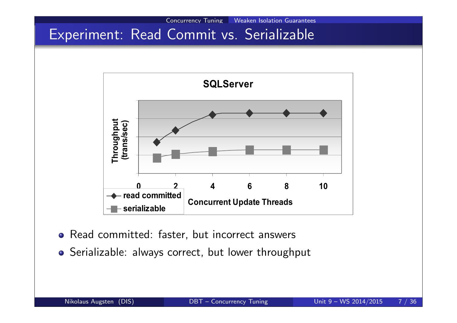

Concurrency Tuning Weaken Isolation Guarantees

- Read committed: faster, but incorrect answers
- Serializable: always correct, but lower throughput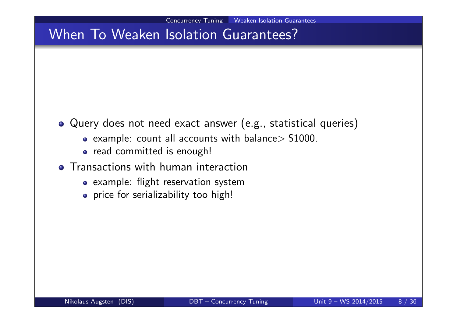## When To Weaken Isolation Guarantees?

- Query does not need exact answer (e.g., statistical queries)
	- $\bullet$  example: count all accounts with balance > \$1000.
	- o read committed is enough!
- **Transactions with human interaction** 
	- example: flight reservation system
	- price for serializability too high!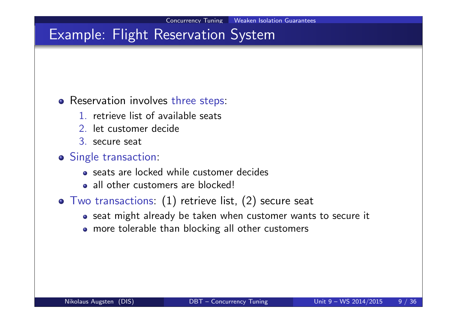### Example: Flight Reservation System

#### o Reservation involves three steps:

- 1. retrieve list of available seats
- 2. let customer decide
- 3. secure seat

#### o Single transaction:

- seats are locked while customer decides
- all other customers are blocked!
- Two transactions: (1) retrieve list, (2) secure seat
	- seat might already be taken when customer wants to secure it
	- more tolerable than blocking all other customers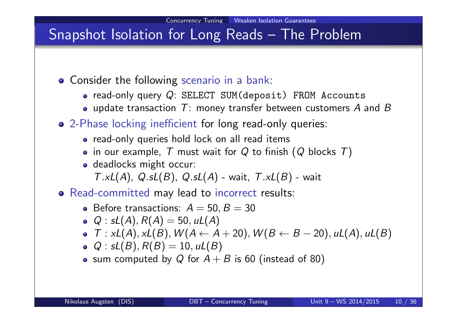## Snapshot Isolation for Long Reads – The Problem

- **Consider the following scenario in a bank:** 
	- $\bullet$  read-only query  $Q$ : SELECT SUM(deposit) FROM Accounts
	- update transaction  $T$ : money transfer between customers A and B
- 2-Phase locking inefficient for long read-only queries:
	- read-only queries hold lock on all read items
	- in our example,  $T$  must wait for  $Q$  to finish ( $Q$  blocks  $T$ )
	- o deadlocks might occur:

 $T.xL(A), Q.sL(B), Q.sL(A)$  - wait,  $T.xL(B)$  - wait

- Read-committed may lead to incorrect results:
	- Before transactions:  $A = 50, B = 30$
	- $Q : SL(A), R(A) = 50, uL(A)$
	- $\bullet$   $\mathcal{T}: xL(A), xL(B), W(A \leftarrow A + 20), W(B \leftarrow B 20), uL(A), uL(B)$
	- $Q : SL(B), R(B) = 10, uL(B)$
	- sum computed by Q for  $A + B$  is 60 (instead of 80)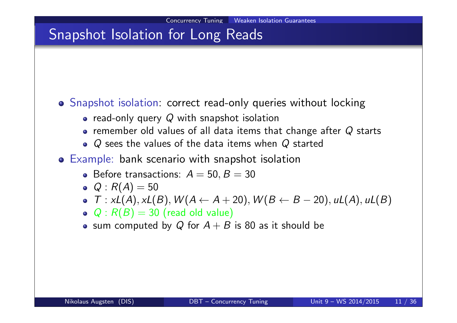## Snapshot Isolation for Long Reads

#### Snapshot isolation: correct read-only queries without locking

- read-only query  $Q$  with snapshot isolation
- remember old values of all data items that change after  $Q$  starts
- Q sees the values of the data items when Q started
- Example: bank scenario with snapshot isolation
	- Before transactions:  $A = 50, B = 30$
	- $Q : R(A) = 50$
	- $\bullet$   $\mathcal{T}: xL(A), xL(B), W(A \leftarrow A + 20), W(B \leftarrow B 20), uL(A), uL(B)$
	- $Q: R(B) = 30$  (read old value)
	- sum computed by Q for  $A + B$  is 80 as it should be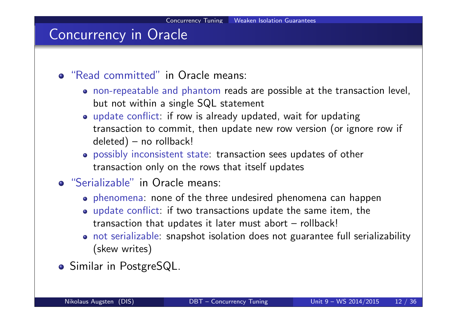## Concurrency in Oracle

- "Read committed" in Oracle means:
	- non-repeatable and phantom reads are possible at the transaction level, but not within a single SQL statement
	- update conflict: if row is already updated, wait for updating transaction to commit, then update new row version (or ignore row if deleted) – no rollback!
	- possibly inconsistent state: transaction sees updates of other transaction only on the rows that itself updates
- "Serializable" in Oracle means:
	- phenomena: none of the three undesired phenomena can happen
	- update conflict: if two transactions update the same item, the transaction that updates it later must abort – rollback!
	- not serializable: snapshot isolation does not guarantee full serializability (skew writes)
- **o** Similar in PostgreSQL.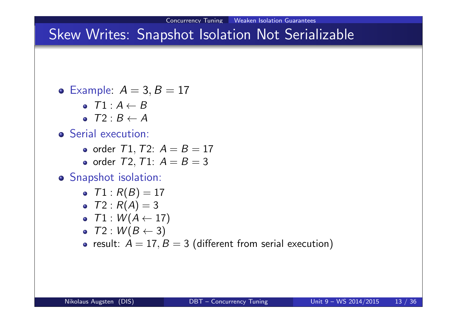## Skew Writes: Snapshot Isolation Not Serializable

- Example:  $A = 3, B = 17$ 
	- $\bullet$   $T1 \cdot A \leftarrow B$
	- $\bullet$   $T2: B \leftarrow A$
- **•** Serial execution:
	- order  $T1, T2$ :  $A = B = 17$
	- order  $T2, T1: A = B = 3$
- Snapshot isolation:
	- $T1: R(B) = 17$
	- $T2 : R(A) = 3$
	- $\bullet$   $T1 : W(A \leftarrow 17)$
	- $\bullet$   $T2 : W(B \leftarrow 3)$
	- result:  $A = 17, B = 3$  (different from serial execution)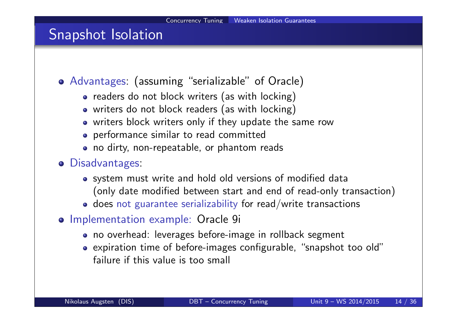### Snapshot Isolation

- Advantages: (assuming "serializable" of Oracle)
	- readers do not block writers (as with locking)
	- writers do not block readers (as with locking)
	- writers block writers only if they update the same row
	- performance similar to read committed
	- no dirty, non-repeatable, or phantom reads
- Disadvantages:
	- system must write and hold old versions of modified data (only date modified between start and end of read-only transaction)
	- does not guarantee serializability for read/write transactions
- Implementation example: Oracle 9i
	- no overhead: leverages before-image in rollback segment
	- expiration time of before-images configurable, "snapshot too old" failure if this value is too small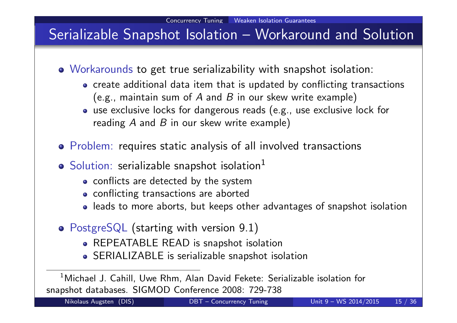## Serializable Snapshot Isolation – Workaround and Solution

- Workarounds to get true serializability with snapshot isolation:
	- create additional data item that is updated by conflicting transactions (e.g., maintain sum of A and B in our skew write example)
	- use exclusive locks for dangerous reads (e.g., use exclusive lock for reading  $A$  and  $B$  in our skew write example)
- Problem: requires static analysis of all involved transactions
- $\bullet$  Solution: serializable snapshot isolation<sup>1</sup>
	- conflicts are detected by the system
	- conflicting transactions are aborted
	- leads to more aborts, but keeps other advantages of snapshot isolation
- PostgreSQL (starting with version 9.1)
	- REPEATABLE READ is snapshot isolation
	- SERIALIZABLE is serializable snapshot isolation

 $^1$ Michael J. Cahill, Uwe Rhm, Alan David Fekete: Serializable isolation for snapshot databases. SIGMOD Conference 2008: 729-738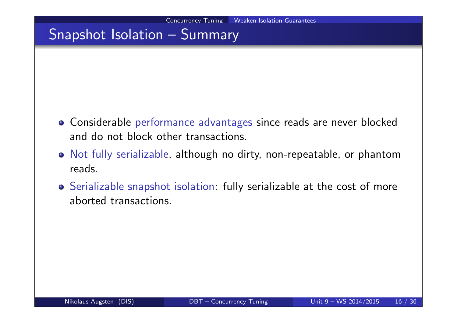### Snapshot Isolation – Summary

- Considerable performance advantages since reads are never blocked and do not block other transactions.
- Not fully serializable, although no dirty, non-repeatable, or phantom reads.
- Serializable snapshot isolation: fully serializable at the cost of more aborted transactions.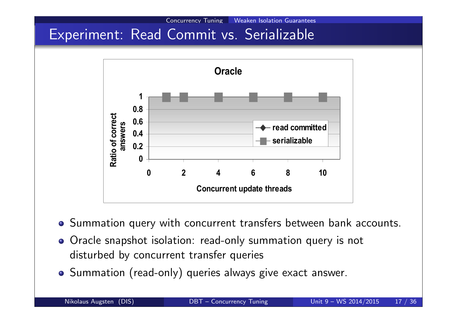

Concurrency Tuning Weaken Isolation Guarantees

- Summation query with concurrent transfers between bank accounts.
- Oracle snapshot isolation: read-only summation query is not disturbed by concurrent transfer queries
- Summation (read-only) queries always give exact answer.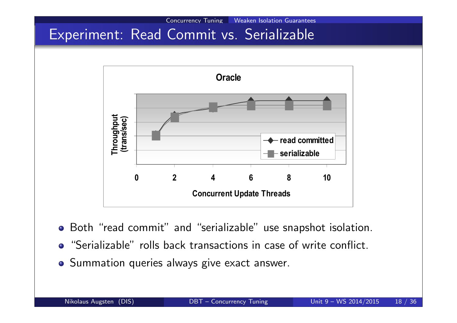

Concurrency Tuning Weaken Isolation Guarantees

- Both "read commit" and "serializable" use snapshot isolation.
- "Serializable" rolls back transactions in case of write conflict.
- **•** Summation queries always give exact answer.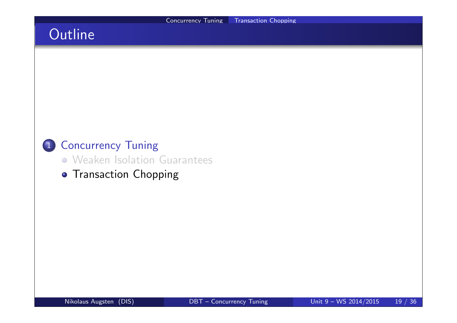## **Outline**



- Weaken Isolation Guarantees
- **Transaction Chopping**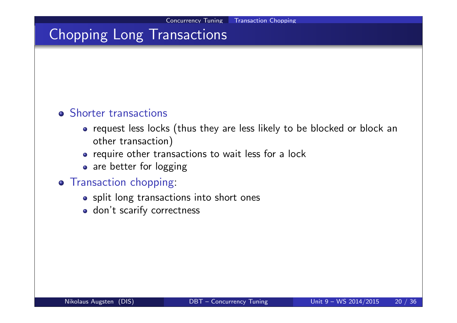## Chopping Long Transactions

#### **•** Shorter transactions

- request less locks (thus they are less likely to be blocked or block an other transaction)
- require other transactions to wait less for a lock
- are better for logging

#### **o** Transaction chopping:

- split long transactions into short ones
- don't scarify correctness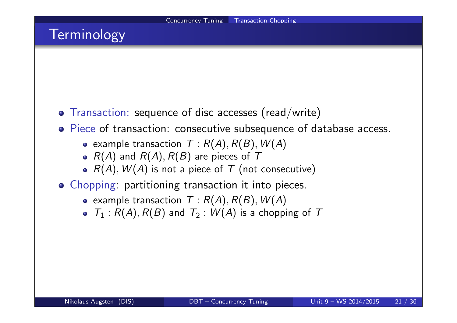## **Terminology**

- Transaction: sequence of disc accesses (read/write)
- Piece of transaction: consecutive subsequence of database access.
	- example transaction  $T : R(A), R(B), W(A)$
	- $R(A)$  and  $R(A), R(B)$  are pieces of T
	- $R(A)$ ,  $W(A)$  is not a piece of T (not consecutive)
- Chopping: partitioning transaction it into pieces.
	- example transaction  $T : R(A), R(B), W(A)$
	- $T_1$ :  $R(A)$ ,  $R(B)$  and  $T_2$ :  $W(A)$  is a chopping of T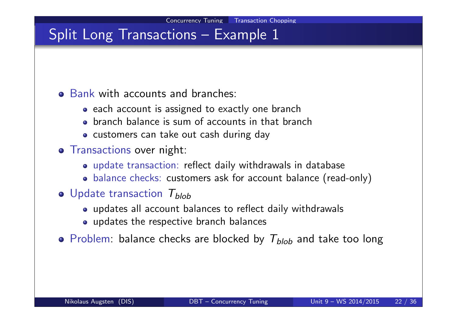## Split Long Transactions - Example 1

#### Bank with accounts and branches:

- each account is assigned to exactly one branch
- branch balance is sum of accounts in that branch
- customers can take out cash during day
- **o** Transactions over night:
	- update transaction: reflect daily withdrawals in database
	- balance checks: customers ask for account balance (read-only)
- $\bullet$  Update transaction  $T_{\text{blob}}$ 
	- updates all account balances to reflect daily withdrawals
	- updates the respective branch balances
- Problem: balance checks are blocked by  $T_{blob}$  and take too long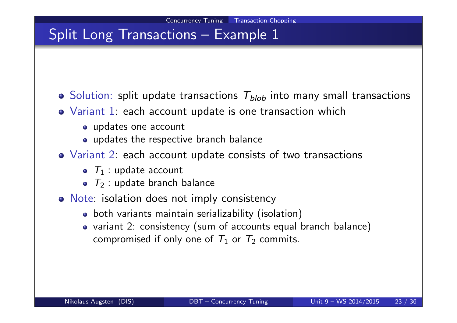### Split Long Transactions – Example 1

- $\bullet$  Solution: split update transactions  $T_{blob}$  into many small transactions
- Variant 1: each account update is one transaction which
	- updates one account
	- updates the respective branch balance
- Variant 2: each account update consists of two transactions
	- $\bullet$   $\tau_1$  : update account
	- $\bullet$   $\tau_2$ : update branch balance
- o Note: isolation does not imply consistency
	- both variants maintain serializability (isolation)
	- variant 2: consistency (sum of accounts equal branch balance) compromised if only one of  $\,_1$  or  $\,_2$  commits.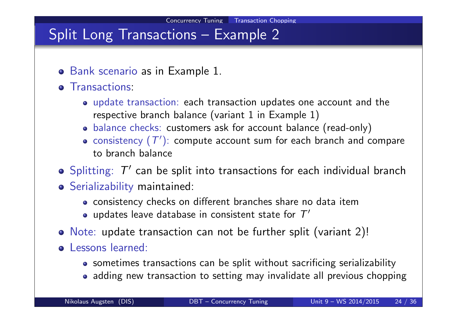### Split Long Transactions – Example 2

- Bank scenario as in Example 1.
- **o** Transactions
	- update transaction: each transaction updates one account and the respective branch balance (variant 1 in Example 1)
	- balance checks: customers ask for account balance (read-only)
	- consistency  $(\mathcal{T}')$ : compute account sum for each branch and compare to branch balance
- Splitting:  $\mathcal{T}'$  can be split into transactions for each individual branch
- Serializability maintained:
	- consistency checks on different branches share no data item
	- updates leave database in consistent state for  $\mathcal{T}'$
- Note: update transaction can not be further split (variant 2)!
- o Lessons learned:
	- sometimes transactions can be split without sacrificing serializability
	- adding new transaction to setting may invalidate all previous chopping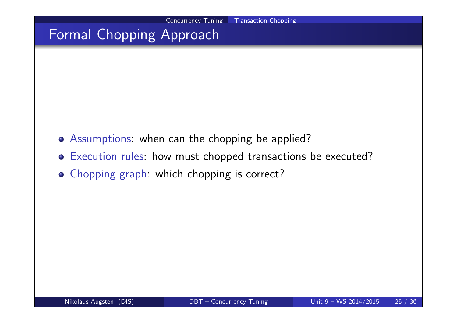## Formal Chopping Approach

- Assumptions: when can the chopping be applied?
- Execution rules: how must chopped transactions be executed?
- Chopping graph: which chopping is correct?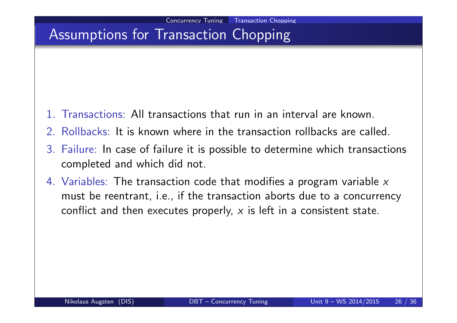## Assumptions for Transaction Chopping

- 1. Transactions: All transactions that run in an interval are known.
- 2. Rollbacks: It is known where in the transaction rollbacks are called.
- 3. Failure: In case of failure it is possible to determine which transactions completed and which did not.
- 4. Variables: The transaction code that modifies a program variable x must be reentrant, i.e., if the transaction aborts due to a concurrency conflict and then executes properly,  $x$  is left in a consistent state.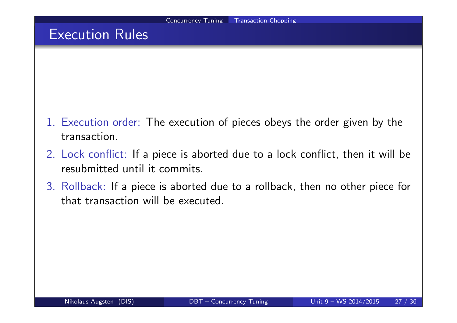### Execution Rules

- 1. Execution order: The execution of pieces obeys the order given by the transaction.
- 2. Lock conflict: If a piece is aborted due to a lock conflict, then it will be resubmitted until it commits.
- 3. Rollback: If a piece is aborted due to a rollback, then no other piece for that transaction will be executed.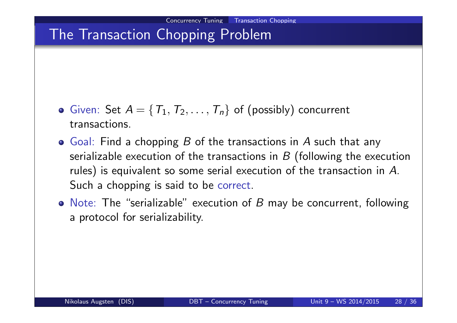## The Transaction Chopping Problem

- Given: Set  $A = \{T_1, T_2, \ldots, T_n\}$  of (possibly) concurrent transactions.
- $\bullet$  Goal: Find a chopping B of the transactions in A such that any serializable execution of the transactions in  $B$  (following the execution rules) is equivalent so some serial execution of the transaction in  $A$ . Such a chopping is said to be correct.
- Note: The "serializable" execution of  $B$  may be concurrent, following a protocol for serializability.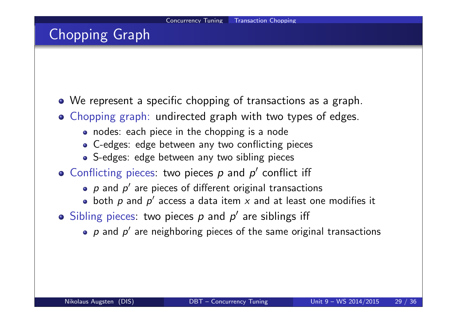## Chopping Graph

- We represent a specific chopping of transactions as a graph.
- Chopping graph: undirected graph with two types of edges.
	- nodes: each piece in the chopping is a node
	- C-edges: edge between any two conflicting pieces
	- S-edges: edge between any two sibling pieces
- Conflicting pieces: two pieces  $p$  and  $p'$  conflict iff
	- $\rho$  and  $\rho'$  are pieces of different original transactions
	- both  $\rho$  and  $\rho'$  access a data item  $x$  and at least one modifies it
- Sibling pieces: two pieces  $p$  and  $p'$  are siblings iff
	- $\bm{\rho}$  and  $\bm{\rho}'$  are neighboring pieces of the same original transactions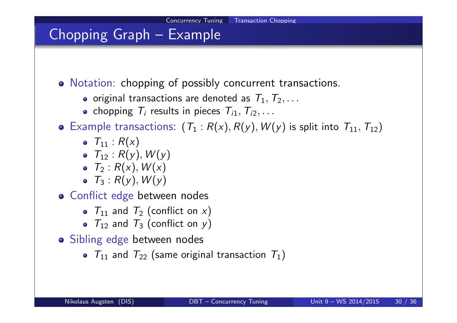## Chopping Graph – Example

Notation: chopping of possibly concurrent transactions.

- o original transactions are denoted as  $T_1, T_2, \ldots$
- chopping  $\mathcal{T}_i$  results in pieces  $\mathcal{T}_{i1},\mathcal{T}_{i2},\ldots$

• Example transactions:  $(T_1 : R(x), R(y), W(y)$  is split into  $T_{11}, T_{12})$ 

- $T_{11}$  :  $R(x)$
- $T_{12}$  :  $R(y)$ ,  $W(y)$
- $\bullet$   $\tau_2$  :  $R(x)$ ,  $W(x)$
- $T_3 : R(y), W(y)$
- **o** Conflict edge between nodes
	- $T_{11}$  and  $T_2$  (conflict on x)
	- $T_{12}$  and  $T_3$  (conflict on y)
- Sibling edge between nodes
	- $T_{11}$  and  $T_{22}$  (same original transaction  $T_{1}$ )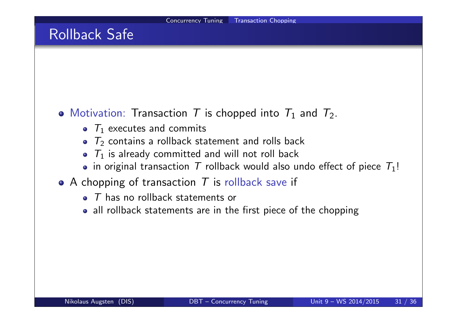### Rollback Safe

### Motivation: Transaction T is chopped into  $T_1$  and  $T_2$ .

- $T_1$  executes and commits
- $T_2$  contains a rollback statement and rolls back
- $\bullet$   $\tau_1$  is already committed and will not roll back
- in original transaction T rollback would also undo effect of piece  $T_1!$
- $\bullet$  A chopping of transaction T is rollback save if
	- $\bullet$  T has no rollback statements or
	- all rollback statements are in the first piece of the chopping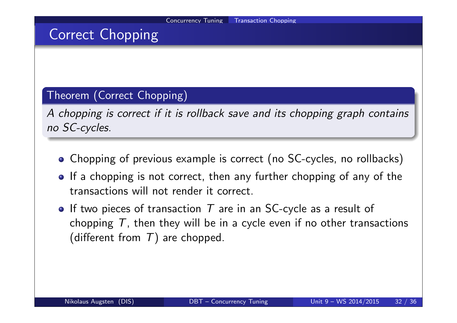### Correct Chopping

#### Theorem (Correct Chopping)

A chopping is correct if it is rollback save and its chopping graph contains no SC-cycles.

- Chopping of previous example is correct (no SC-cycles, no rollbacks)
- If a chopping is not correct, then any further chopping of any of the transactions will not render it correct.
- If two pieces of transaction  $T$  are in an SC-cycle as a result of chopping  $T$ , then they will be in a cycle even if no other transactions (different from  $T$ ) are chopped.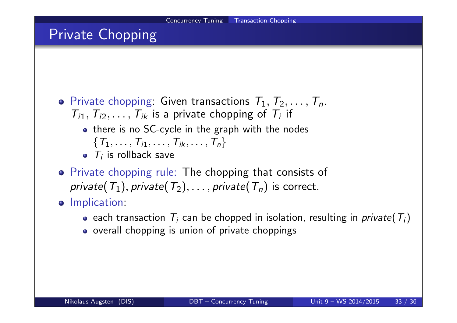## Private Chopping

- $\bullet$  Private chopping: Given transactions  $T_1, T_2, \ldots, T_n$ .  $T_{i1}, T_{i2}, \ldots, T_{ik}$  is a private chopping of  $T_i$  if
	- there is no SC-cycle in the graph with the nodes
		- $\{T_1, \ldots, T_{i1}, \ldots, T_{ik}, \ldots, T_n\}$
	- $T_i$  is rollback save
- Private chopping rule: The chopping that consists of private $(\mathcal{T}_1),$  private $(\mathcal{T}_2),\ldots,$  private $(\mathcal{T}_n)$  is correct.
- **o** Implication:
	- each transaction  $\, {\cal T}_i \,$  can be chopped in isolation, resulting in  ${\it private}( \, {\cal T}_i)$
	- overall chopping is union of private choppings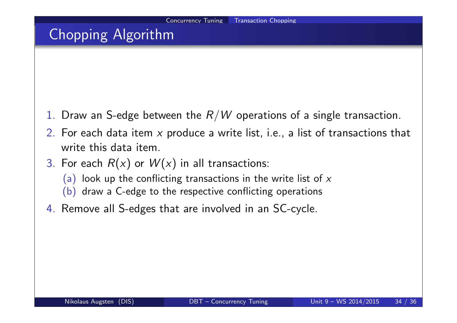## Chopping Algorithm

- 1. Draw an S-edge between the  $R/W$  operations of a single transaction.
- 2. For each data item  $x$  produce a write list, i.e., a list of transactions that write this data item.
- 3. For each  $R(x)$  or  $W(x)$  in all transactions:
	- (a) look up the conflicting transactions in the write list of  $x$
	- (b) draw a C-edge to the respective conflicting operations
- 4. Remove all S-edges that are involved in an SC-cycle.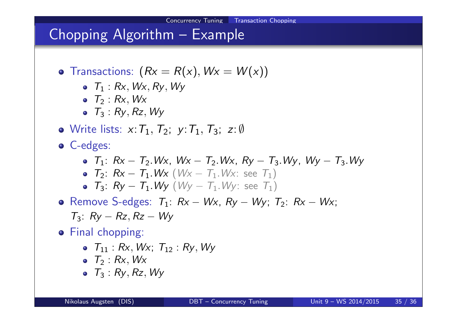### Chopping Algorithm – Example

- Transactions:  $(Rx = R(x), Wx = W(x))$ 
	- $\bullet$   $T_1$  : Rx, Wx, Ry, Wy
	- $\bullet$   $T_2$  : Rx, Wx
	- $\bullet$   $T_3$  :  $R_V$ ,  $R_z$ ,  $W_V$
- Write lists:  $x: T_1, T_2$ ;  $y: T_1, T_3$ ;  $z: \emptyset$
- C-edges:
	- $T_1: Rx T_2.Wx, Wx T_2.Wx, Ry T_3.Wy, Wy T_3.Wy$
	- $T_2$ :  $Rx T_1.Wx$  ( $Wx T_1.Wx$ : see  $T_1$ )
	- $T_3$ :  $Ry T_1.Wy$  ( $Wy T_1.Wy$ : see  $T_1$ )
- Remove S-edges:  $T_1$ :  $Rx Wx$ ,  $Ry Wy$ ;  $T_2$ :  $Rx Wx$ ;  $T_3$ :  $R_V - R_Z$ ,  $R_Z - W_V$
- **•** Final chopping:
	- $\bullet$   $T_{11}$  : Rx, Wx;  $T_{12}$  : Rv, Wv
	- $\bullet$   $T_2$  : Rx, Wx
	- $\bullet$   $T_3$  :  $R_V$ ,  $R_Z$ ,  $W_V$